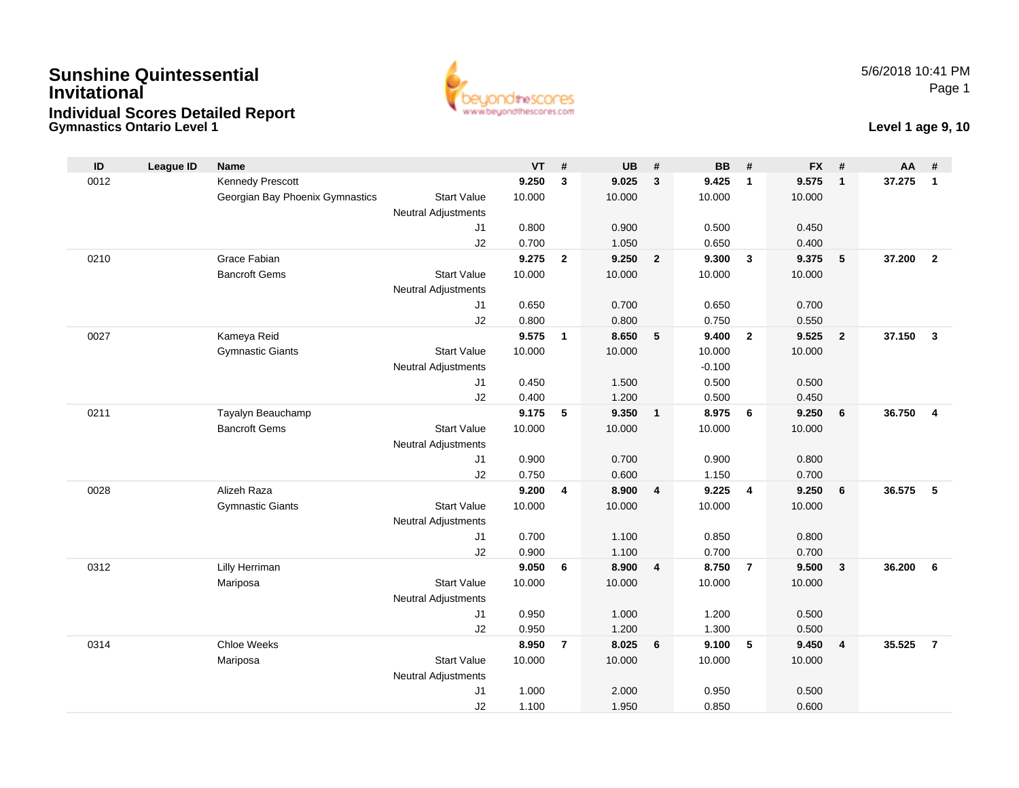## **Gymnastics Ontario Level 1Sunshine QuintessentialInvitationalIndividual Scores Detailed Report**



#### **Level 1 age 9, 10**

| ID   | <b>League ID</b> | <b>Name</b>                     |                                              | <b>VT</b>      | #                       | <b>UB</b>      | #                       | <b>BB</b>      | #              | <b>FX</b>      | #                       | AA     | #                       |
|------|------------------|---------------------------------|----------------------------------------------|----------------|-------------------------|----------------|-------------------------|----------------|----------------|----------------|-------------------------|--------|-------------------------|
| 0012 |                  | Kennedy Prescott                |                                              | 9.250          | 3                       | 9.025          | $\overline{3}$          | 9.425          | $\overline{1}$ | 9.575          | $\overline{\mathbf{1}}$ | 37.275 | $\overline{1}$          |
|      |                  | Georgian Bay Phoenix Gymnastics | <b>Start Value</b>                           | 10.000         |                         | 10.000         |                         | 10.000         |                | 10.000         |                         |        |                         |
|      |                  |                                 | <b>Neutral Adjustments</b>                   |                |                         |                |                         |                |                |                |                         |        |                         |
|      |                  |                                 | J <sub>1</sub>                               | 0.800          |                         | 0.900          |                         | 0.500          |                | 0.450          |                         |        |                         |
|      |                  |                                 | J2                                           | 0.700          |                         | 1.050          |                         | 0.650          |                | 0.400          |                         |        |                         |
| 0210 |                  | Grace Fabian                    |                                              | 9.275          | $\overline{2}$          | 9.250          | $\overline{2}$          | 9.300          | $\mathbf{3}$   | 9.375          | 5                       | 37.200 | $\overline{2}$          |
|      |                  | <b>Bancroft Gems</b>            | <b>Start Value</b>                           | 10.000         |                         | 10.000         |                         | 10.000         |                | 10.000         |                         |        |                         |
|      |                  |                                 | <b>Neutral Adjustments</b>                   |                |                         |                |                         |                |                |                |                         |        |                         |
|      |                  |                                 | J1                                           | 0.650          |                         | 0.700          |                         | 0.650          |                | 0.700          |                         |        |                         |
| 0027 |                  | Kameya Reid                     | J2                                           | 0.800<br>9.575 | $\mathbf{1}$            | 0.800<br>8.650 | 5                       | 0.750<br>9.400 | $\overline{2}$ | 0.550<br>9.525 | $\overline{2}$          | 37.150 | $\overline{\mathbf{3}}$ |
|      |                  | <b>Gymnastic Giants</b>         | <b>Start Value</b>                           | 10.000         |                         | 10.000         |                         | 10.000         |                | 10.000         |                         |        |                         |
|      |                  |                                 | <b>Neutral Adjustments</b>                   |                |                         |                |                         | $-0.100$       |                |                |                         |        |                         |
|      |                  |                                 | J1                                           | 0.450          |                         | 1.500          |                         | 0.500          |                | 0.500          |                         |        |                         |
|      |                  |                                 | J2                                           | 0.400          |                         | 1.200          |                         | 0.500          |                | 0.450          |                         |        |                         |
| 0211 |                  | Tayalyn Beauchamp               |                                              | 9.175          | 5                       | 9.350          | $\mathbf{1}$            | 8.975          | 6              | 9.250          | 6                       | 36.750 | $\overline{4}$          |
|      |                  | <b>Bancroft Gems</b>            | <b>Start Value</b>                           | 10.000         |                         | 10.000         |                         | 10.000         |                | 10.000         |                         |        |                         |
|      |                  |                                 | <b>Neutral Adjustments</b>                   |                |                         |                |                         |                |                |                |                         |        |                         |
|      |                  |                                 | J1                                           | 0.900          |                         | 0.700          |                         | 0.900          |                | 0.800          |                         |        |                         |
|      |                  |                                 | J2                                           | 0.750          |                         | 0.600          |                         | 1.150          |                | 0.700          |                         |        |                         |
| 0028 |                  | Alizeh Raza                     |                                              | 9.200          | $\overline{\mathbf{4}}$ | 8.900          | $\overline{4}$          | 9.225          | $\overline{4}$ | 9.250          | 6                       | 36.575 | - 5                     |
|      |                  | <b>Gymnastic Giants</b>         | <b>Start Value</b>                           | 10.000         |                         | 10.000         |                         | 10.000         |                | 10.000         |                         |        |                         |
|      |                  |                                 | <b>Neutral Adjustments</b>                   |                |                         |                |                         |                |                |                |                         |        |                         |
|      |                  |                                 | J1                                           | 0.700          |                         | 1.100          |                         | 0.850          |                | 0.800          |                         |        |                         |
|      |                  |                                 | J2                                           | 0.900          |                         | 1.100          |                         | 0.700          |                | 0.700          |                         |        |                         |
| 0312 |                  | Lilly Herriman                  |                                              | 9.050          | 6                       | 8.900          | $\overline{\mathbf{4}}$ | 8.750          | $\overline{7}$ | 9.500          | $\overline{\mathbf{3}}$ | 36.200 | 6                       |
|      |                  | Mariposa                        | <b>Start Value</b>                           | 10.000         |                         | 10.000         |                         | 10.000         |                | 10.000         |                         |        |                         |
|      |                  |                                 | <b>Neutral Adjustments</b>                   |                |                         |                |                         |                |                |                |                         |        |                         |
|      |                  |                                 | J1                                           | 0.950          |                         | 1.000          |                         | 1.200          |                | 0.500          |                         |        |                         |
|      |                  |                                 | J2                                           | 0.950          |                         | 1.200          |                         | 1.300          |                | 0.500          |                         |        |                         |
| 0314 |                  | <b>Chloe Weeks</b>              |                                              | 8.950          | $\overline{7}$          | 8.025          | 6                       | 9.100          | 5              | 9.450          | $\overline{4}$          | 35.525 | $\overline{7}$          |
|      |                  | Mariposa                        | <b>Start Value</b>                           | 10.000         |                         | 10.000         |                         | 10.000         |                | 10.000         |                         |        |                         |
|      |                  |                                 | <b>Neutral Adjustments</b><br>J <sub>1</sub> | 1.000          |                         | 2.000          |                         | 0.950          |                | 0.500          |                         |        |                         |
|      |                  |                                 | J2                                           | 1.100          |                         | 1.950          |                         | 0.850          |                | 0.600          |                         |        |                         |
|      |                  |                                 |                                              |                |                         |                |                         |                |                |                |                         |        |                         |